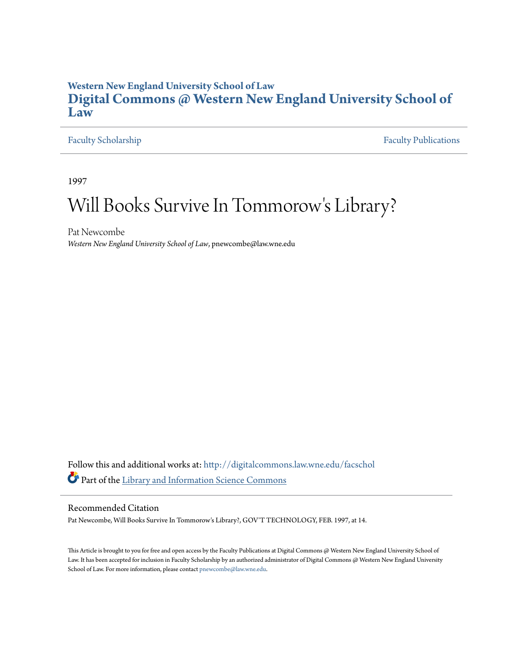### **Western New England University School of Law [Digital Commons @ Western New England University School of](http://digitalcommons.law.wne.edu?utm_source=digitalcommons.law.wne.edu%2Ffacschol%2F232&utm_medium=PDF&utm_campaign=PDFCoverPages) [Law](http://digitalcommons.law.wne.edu?utm_source=digitalcommons.law.wne.edu%2Ffacschol%2F232&utm_medium=PDF&utm_campaign=PDFCoverPages)**

#### [Faculty Scholarship](http://digitalcommons.law.wne.edu/facschol?utm_source=digitalcommons.law.wne.edu%2Ffacschol%2F232&utm_medium=PDF&utm_campaign=PDFCoverPages) [Faculty Publications](http://digitalcommons.law.wne.edu/facpubs?utm_source=digitalcommons.law.wne.edu%2Ffacschol%2F232&utm_medium=PDF&utm_campaign=PDFCoverPages)

1997

# Will Books Survive In Tommorow 's Library?

Pat Newcombe *Western New England University School of Law*, pnewcombe@law.wne.edu

Follow this and additional works at: [http://digitalcommons.law.wne.edu/facschol](http://digitalcommons.law.wne.edu/facschol?utm_source=digitalcommons.law.wne.edu%2Ffacschol%2F232&utm_medium=PDF&utm_campaign=PDFCoverPages) Part of the [Library and Information Science Commons](http://network.bepress.com/hgg/discipline/1018?utm_source=digitalcommons.law.wne.edu%2Ffacschol%2F232&utm_medium=PDF&utm_campaign=PDFCoverPages)

#### Recommended Citation

Pat Newcombe, Will Books Survive In Tommorow's Library?, GOV'T TECHNOLOGY, FEB. 1997, at 14.

This Article is brought to you for free and open access by the Faculty Publications at Digital Commons @ Western New England University School of Law. It has been accepted for inclusion in Faculty Scholarship by an authorized administrator of Digital Commons @ Western New England University School of Law. For more information, please contact [pnewcombe@law.wne.edu.](mailto:pnewcombe@law.wne.edu)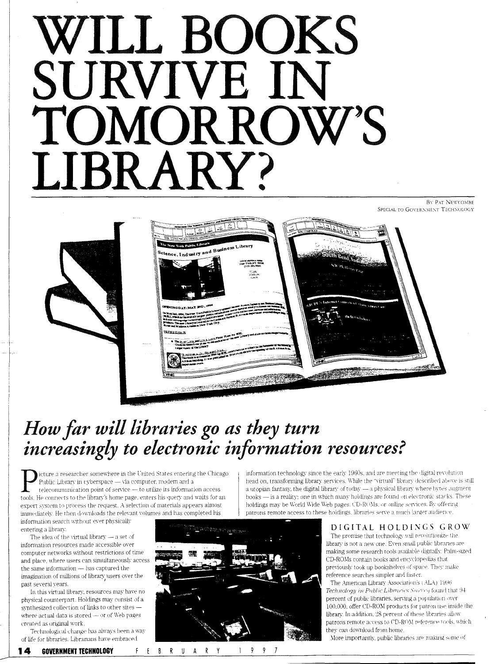# WILL BOOKS SURVIVE IN TOMORROW'S LIBRARY?

BY PAT NEWCOMBE SPECIAL TO GOVERNMENT TECHNOLOGY





# How far will libraries go as they turn<br>increasingly to electronic information resources?

icture a researcher somewhere in the United States entering the Chicago Public Library in cyberspace - via computer, modem and a teleconununication point of service - to utilize its information access tools. He connects to the library's home page, enters his query and waits for an expert system to process the request. A selection of materials appears almost immediately. He then downloads the relevant volumes and has completed his information search without ever physically

entering a library.

The idea of the virtual library  $-$  a set of information resources made accessible over computer networks without restrictions of time and place, where users can simultaneously access the same information - has captured the imagination of millions of library users over the past several years.

In this virtual library, resources may have no physical counterpart. Holdings may consist of a synthesized collection of links to other sites where actual data is stored - or of Web pages created as original work.

Technological change has always been a way of life for libraries. Librarians have embraced



 $1 \sqrt{9}$ 

9  $\overline{1}$ 

information technology since the early 1960s, and are meeting the digital revolution head on, transforming library services. While the "virtual" library described above is still a utopian fantasy, the digital library of today - a physical library where bytes augment books - is a reality; one in which many holdings are found on electronic stacks. These holdings may be World Wide Web pages. CD-ROMs, or online services. By offering patrons remote access to these holdings. libraries serve a much larger audience

#### DIGITAL HOLDINGS GROW

The promise that technology will revolutionize the library is not a new one. Even small public libraries are making some research tools available digitally. Palm-sized CD-ROMs contain books and encyclopedias that previously took up bookshelves of space. They make reference searches simpler and faster.

The American Library Association's (ALA) 1996 Technology in Public Libraries Survey found that 94 percent of public libraries, serving a population over 100,000, offer CD-ROM products for patron use inside the library. In addition, 28 percent of these libraries allow patrons remote access to CD-ROM reference tools, which they can download from home.

More importantly, public libraries are making some of

F E B R U A R Y 14 **GOVERNMENT TECHNOLOGY**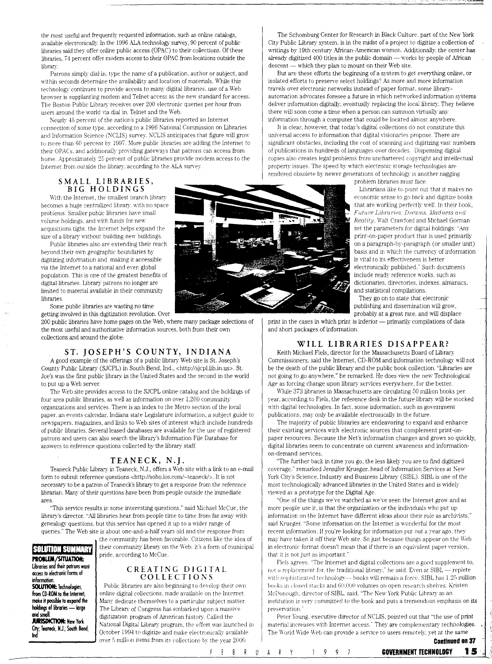the most useful and frequently requested information, such as online catalogs, available electronically. In the 1996 ALA technology survey, 90 percent of public libraries said they offer online public access (OPAC) to their collections. Of these libraries. 74 percent offer modem access to their OPAC from locations outside the library

Patrons simply dial in. type the name of a publication, author or subject, and within seconds determine the availability and location of materials. While this  $technology continues to provide access to many digital libraries, use of a Web$ browser is supplanting modem and Telnet access as the new standard for access. The Boston Public Library receives over 200 electronic queries per hour from users around the world via dial in. Telnet and the Web.

Nearly 45 percent of the nation's public libraries reported an Internet connection of some type. according to a 1996 National Commission on Libraries and Information Science (NCLIS) survey. NCLIS anticipates that figure will grow to more than 60 percent by 1997. More public libraries are adding the Internet to their OPACs, and additionally providing gateways that patrons can access from home. Approximately 25 percent of public libraries provide modem access to the Internet from outside the library. according to the ALA surwy

The Schomburg Center for Research in Black Culture. part of the New York City Public Library system, is in the midst of a project to digitize a collection of writings by 19th century African-American women. Additionally, the center has already digitized  $400$  titles in the public domain  $-$  works by people of African descent - which they plan to mount on their Web site.

But are these efforts the begirming of a system to get everything online, or isolated efforts to preserve select holdings? As more and more information travels over electronic networks instead of paper format, some libraryautomation advocates foresee a future in which networked information systems deliver information digitally, eventually replacing the local library. They believe there will soon come a time when a person can summon virtually any information through a computer that could be located almost anywhere.

It is clear, however, that today's digital collections do not constitute this universal access to information that digital visionaries propose. There are significant obstacles, including the cost of scanning and digitizing vast numbers of publications in hundreds of languages over decades. Dispensing digital copies also creates legal problems from unchartered copyright and intellectual property issues. The speed by which electronic storage technologies are rendered obsolete by newer generations of technology is another nagging

**SMALL LIBRARIES, BIG HOLDINGS**  With the Internet, the smallest branch library

 becomes a huge centralized library. with no space problems. Smaller public libraries have small volume holdings, and with funds for new acquisitions tight. *the* Internet helps expand the size of a library without building new buildings.

Public libraries also are extending their reach beyond their own geographic boundaries by digitizing information and making it accessible via the Internet to a national and even global population. This is one of the greatest benefits of digital libraries. Library patrons no longer are limited to material available in their community libraries

Some public libraries are wasting no time getting involved ln this digitization revolution. Over

200 public libraries have home pages on the Web, where many package selections of the most useful and authoritative information sources, both from their own collections and around the globe.

#### **ST. JOSEPH'S COUNTY, INDIANA**

A good example of the offerings of a public library Web site is St. Joseph's County Public Library (SJCPL) in South Bend, Ind., <http://sjcpl.lib.in.us>. St. Joe's was the first public library in the United States and the second in the world to put up a Web server.

The Web site provides access to the SJCPL online catalog and the holdings of four area public libraries. as well as information on over 1.200 conununity orgaruzations and services. There is an index to the Metro section of the local paper. an events calendar, Indiana state Legislature information, a subject guide to newspapers. magazines, and links to Web sites of interest which include hundreds of public libraries. Several leased databases are available for the use of registered patrons and users can also search the library's Information File Database for answers to reference questions collected by the library staff.

#### **TEANECK, N.J.**

Teaneck Public Library in Teaneck, N.J., offers a Web site with a link to an e-mail form to submit reference questions <http://soho.ios.com/~teaneck/>. It is not necessary to be a patron of Teaneck's library to get a response from the reference librarian. Many of their questions have been from people outside the immediate area.

"This service results in some interesting questions," said Michael McCue, the library's director. "All libraries hear from people time to time from far away with genealogy questions, but this service has opened it up to a wider range of queries." The Web site is about one-and-a-half years old and the response from

Libraries and their patrons want

**IKcess to electronic forms of** 

the community has been favorable. Citizens like the idea of **FOLUTION SUPPRIME | their community library on the Web: it's a form of municipal <b>problem/SITUATION:**  $\blacksquare$ 

#### **libraries and their patrons want C R E A T 1 N G D I G I T A L information. information information** *COLLECTIONS*

**SOLUTION:** Technologies, Public libraries are also beginning to develop their own from CD-ROM to the Internet, online digital collections. made available on the Internet. **make it possible to expand the A**Many dedicate themselves to a particular subject matter.<br>**holdings of libraries — large Ally** The Library of Congress has embarked upon a massive **holdings of libraries — large large largeries in The Library of Congress has embarked upon a massive and strain**<br>**and small distribution of American bistory Called the small distribution of American bistory Called the sma and smaH.** client **and smaH.** client constant of American history. Called the **AMERICAN STARK Constant** here for the effect that the constant the effect that the constant of the constant of the constant of the constant of **JURISDICTION:** New York<br>**City, Teaneck, N.J.; South Bend,** Costables 1994 to digiting and make also transically symbolic ~Teaneck, **NJ.; South Bend,** October I \!94 tc> cligitize and make electn•nically m·ailable over 5 million items from its collections by the year 2000.



problem libraries must face. Librarians like to point out that it makes no economic sense to go back and digitize books that are working perfectly well. In their book, Future Libraries: Dreams, Madness and Reality. Walt Crawford and Michael Gorman set the parameters for digital holdings: "Any print-on-paper product that is used primarily on a paragraph-by-paragraph (or smaller unit) basis and in which the currency of information is vital to its effectiveness is better electronically published." Such documents include ready reference works. such as dictionaries, directories, indexes, almanacs, and statistical compilations.

They go on to state that electronic publishing and dissemination \\ill grow. probably at a great rate. and \\·ill displace

print in the cases in which print is inferior - primarily compilations of data and short packages of information.

#### **WILL LIBRARIES DISAPPEAR?**

Keith Michael Fiels, director for the Massachusetts Board of Library Commissioners, said the Internet, CD-ROM and information technology will not be the death of the public library and the public book collection. "Libraries are not going to go anywhere," he remarked. He does view the new Technological Age as forcing change upon library services everywhere, for the better.

While 373 libraries in Massachusetts are circulating 50 million books per year, according to Fiels, the reference desk in the future library will be stocked with digital technologies. In fact, some information, such as government publications, may only be available electronically in the future.

The majority of public libraries are endeavoring to expand and enhance their existing services with electronic sources that complement print-onpaper resources. Because the Net's information changes and grows so quickly, digital libraries seem to concentrate on current awareness and informationon-demand senices.

"The further back in time you go. the less likely you are to fmd digitized coverage." remarked Jennifer Krueger, head of Information Services at New York City's Science. Industry and Business Library (SIBL). SIBL is one of the most technologically advanced libraries in the United States and is widely viewed as a prototype for the Digital Age.

"One of the things we've watched as we'w seen the Internet grow and as more people use it, is that the organization or the individuals who put up information on the Internet have different ideas about their role as archivists," said Krueger. "Some information on the Internet is wonderful for the most recent information. If you're looking for information put out a year ago. they may have taken it off their Web site. So just because things appear on the Web in electronic format doesn't mean that if there is an equivalent paper version, that it is not just as important."

Fieb agrees "The Internet and digital collections are a good supplement to, not a replacement for, the traditional library," he said. Even at SIBL -- replete with sophisticated technology- books will remain a force. SIBL has 1.25 million books in closed stacks and  $60,000$  volumes on open research shelves. Kristen \lc[Jonough. director of SIBL. said. "The Ne\1· York Public Library as an institution is very committed to the book and puts a tremendous emphasis on its **presen·arion** -

Peter Young. executive director of NCLIS. pointed out that "the use of print material increases with Internet access." They are complementary technologies. The World Wide Web can provide a service to users remotely, yet at the same

**Continued on 37**